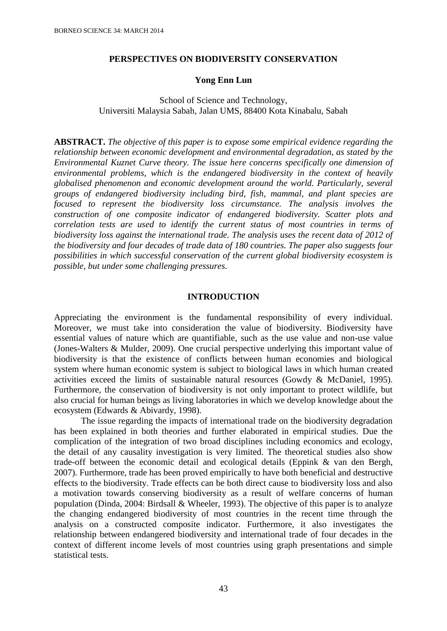### **PERSPECTIVES ON BIODIVERSITY CONSERVATION**

#### **Yong Enn Lun**

# School of Science and Technology, Universiti Malaysia Sabah, Jalan UMS, 88400 Kota Kinabalu, Sabah

**ABSTRACT.** *The objective of this paper is to expose some empirical evidence regarding the relationship between economic development and environmental degradation, as stated by the Environmental Kuznet Curve theory. The issue here concerns specifically one dimension of environmental problems, which is the endangered biodiversity in the context of heavily globalised phenomenon and economic development around the world. Particularly, several groups of endangered biodiversity including bird, fish, mammal, and plant species are focused to represent the biodiversity loss circumstance. The analysis involves the construction of one composite indicator of endangered biodiversity. Scatter plots and correlation tests are used to identify the current status of most countries in terms of biodiversity loss against the international trade. The analysis uses the recent data of 2012 of the biodiversity and four decades of trade data of 180 countries. The paper also suggests four possibilities in which successful conservation of the current global biodiversity ecosystem is possible, but under some challenging pressures.*

#### **INTRODUCTION**

Appreciating the environment is the fundamental responsibility of every individual. Moreover, we must take into consideration the value of biodiversity. Biodiversity have essential values of nature which are quantifiable, such as the use value and non-use value (Jones-Walters & Mulder, 2009). One crucial perspective underlying this important value of biodiversity is that the existence of conflicts between human economies and biological system where human economic system is subject to biological laws in which human created activities exceed the limits of sustainable natural resources (Gowdy & McDaniel, 1995). Furthermore, the conservation of biodiversity is not only important to protect wildlife, but also crucial for human beings as living laboratories in which we develop knowledge about the ecosystem (Edwards & Abivardy, 1998).

The issue regarding the impacts of international trade on the biodiversity degradation has been explained in both theories and further elaborated in empirical studies. Due the complication of the integration of two broad disciplines including economics and ecology, the detail of any causality investigation is very limited. The theoretical studies also show trade-off between the economic detail and ecological details (Eppink & van den Bergh, 2007). Furthermore, trade has been proved empirically to have both beneficial and destructive effects to the biodiversity. Trade effects can be both direct cause to biodiversity loss and also a motivation towards conserving biodiversity as a result of welfare concerns of human population (Dinda, 2004: Birdsall & Wheeler, 1993). The objective of this paper is to analyze the changing endangered biodiversity of most countries in the recent time through the analysis on a constructed composite indicator. Furthermore, it also investigates the relationship between endangered biodiversity and international trade of four decades in the context of different income levels of most countries using graph presentations and simple statistical tests.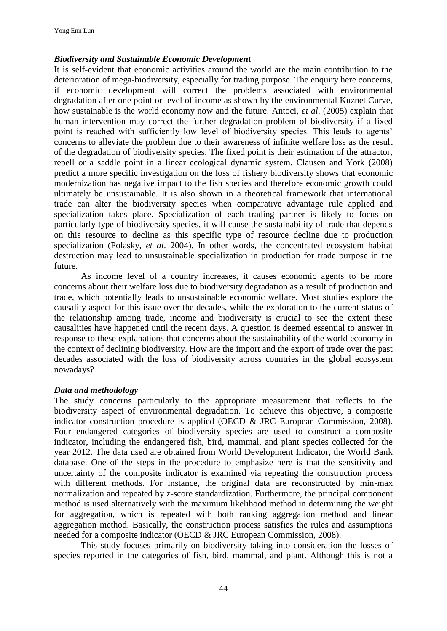## *Biodiversity and Sustainable Economic Development*

It is self-evident that economic activities around the world are the main contribution to the deterioration of mega-biodiversity, especially for trading purpose. The enquiry here concerns, if economic development will correct the problems associated with environmental degradation after one point or level of income as shown by the environmental Kuznet Curve, how sustainable is the world economy now and the future. Antoci, *et al*. (2005) explain that human intervention may correct the further degradation problem of biodiversity if a fixed point is reached with sufficiently low level of biodiversity species. This leads to agents' concerns to alleviate the problem due to their awareness of infinite welfare loss as the result of the degradation of biodiversity species. The fixed point is their estimation of the attractor, repell or a saddle point in a linear ecological dynamic system. Clausen and York (2008) predict a more specific investigation on the loss of fishery biodiversity shows that economic modernization has negative impact to the fish species and therefore economic growth could ultimately be unsustainable. It is also shown in a theoretical framework that international trade can alter the biodiversity species when comparative advantage rule applied and specialization takes place. Specialization of each trading partner is likely to focus on particularly type of biodiversity species, it will cause the sustainability of trade that depends on this resource to decline as this specific type of resource decline due to production specialization (Polasky, *et al*. 2004). In other words, the concentrated ecosystem habitat destruction may lead to unsustainable specialization in production for trade purpose in the future.

As income level of a country increases, it causes economic agents to be more concerns about their welfare loss due to biodiversity degradation as a result of production and trade, which potentially leads to unsustainable economic welfare. Most studies explore the causality aspect for this issue over the decades, while the exploration to the current status of the relationship among trade, income and biodiversity is crucial to see the extent these causalities have happened until the recent days. A question is deemed essential to answer in response to these explanations that concerns about the sustainability of the world economy in the context of declining biodiversity. How are the import and the export of trade over the past decades associated with the loss of biodiversity across countries in the global ecosystem nowadays?

### *Data and methodology*

The study concerns particularly to the appropriate measurement that reflects to the biodiversity aspect of environmental degradation. To achieve this objective, a composite indicator construction procedure is applied (OECD & JRC European Commission, 2008). Four endangered categories of biodiversity species are used to construct a composite indicator, including the endangered fish, bird, mammal, and plant species collected for the year 2012. The data used are obtained from World Development Indicator, the World Bank database. One of the steps in the procedure to emphasize here is that the sensitivity and uncertainty of the composite indicator is examined via repeating the construction process with different methods. For instance, the original data are reconstructed by min-max normalization and repeated by z-score standardization. Furthermore, the principal component method is used alternatively with the maximum likelihood method in determining the weight for aggregation, which is repeated with both ranking aggregation method and linear aggregation method. Basically, the construction process satisfies the rules and assumptions needed for a composite indicator (OECD & JRC European Commission, 2008).

This study focuses primarily on biodiversity taking into consideration the losses of species reported in the categories of fish, bird, mammal, and plant. Although this is not a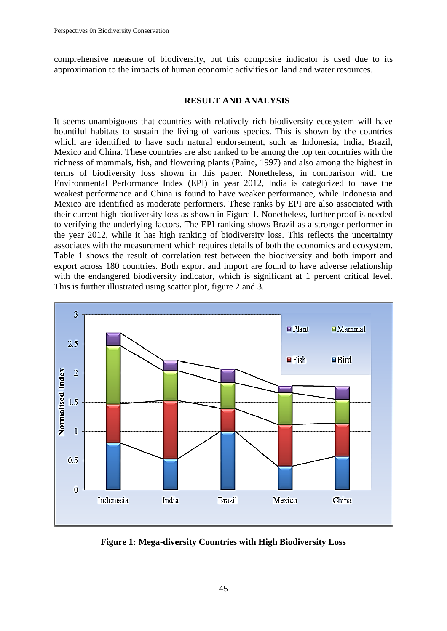comprehensive measure of biodiversity, but this composite indicator is used due to its approximation to the impacts of human economic activities on land and water resources.

## **RESULT AND ANALYSIS**

It seems unambiguous that countries with relatively rich biodiversity ecosystem will have bountiful habitats to sustain the living of various species. This is shown by the countries which are identified to have such natural endorsement, such as Indonesia, India, Brazil, Mexico and China. These countries are also ranked to be among the top ten countries with the richness of mammals, fish, and flowering plants (Paine, 1997) and also among the highest in terms of biodiversity loss shown in this paper. Nonetheless, in comparison with the Environmental Performance Index (EPI) in year 2012, India is categorized to have the weakest performance and China is found to have weaker performance, while Indonesia and Mexico are identified as moderate performers. These ranks by EPI are also associated with their current high biodiversity loss as shown in Figure 1. Nonetheless, further proof is needed to verifying the underlying factors. The EPI ranking shows Brazil as a stronger performer in the year 2012, while it has high ranking of biodiversity loss. This reflects the uncertainty associates with the measurement which requires details of both the economics and ecosystem. Table 1 shows the result of correlation test between the biodiversity and both import and export across 180 countries. Both export and import are found to have adverse relationship with the endangered biodiversity indicator, which is significant at 1 percent critical level. This is further illustrated using scatter plot, figure 2 and 3.



**Figure 1: Mega-diversity Countries with High Biodiversity Loss**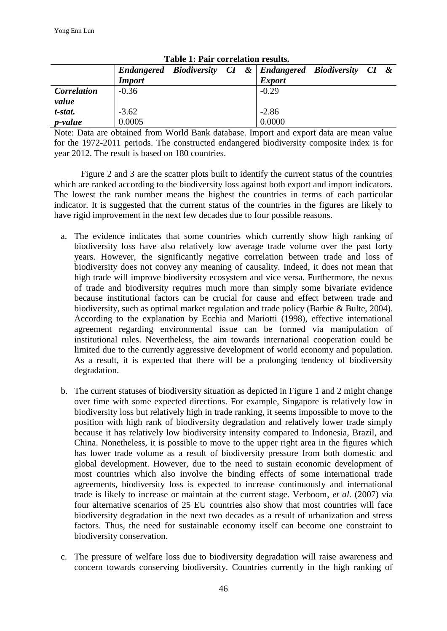|                    |               |  |  |  | Endangered Biodiversity CI & Endangered Biodiversity CI & |  |  |  |
|--------------------|---------------|--|--|--|-----------------------------------------------------------|--|--|--|
|                    | <b>Import</b> |  |  |  | <b>Export</b>                                             |  |  |  |
| <b>Correlation</b> | $-0.36$       |  |  |  | $-0.29$                                                   |  |  |  |
| value              |               |  |  |  |                                                           |  |  |  |
| t-stat.            | $-3.62$       |  |  |  | $-2.86$                                                   |  |  |  |
| <i>p</i> -value    | 0.0005        |  |  |  | 0.0000                                                    |  |  |  |

Note: Data are obtained from World Bank database. Import and export data are mean value for the 1972-2011 periods. The constructed endangered biodiversity composite index is for year 2012. The result is based on 180 countries.

Figure 2 and 3 are the scatter plots built to identify the current status of the countries which are ranked according to the biodiversity loss against both export and import indicators. The lowest the rank number means the highest the countries in terms of each particular indicator. It is suggested that the current status of the countries in the figures are likely to have rigid improvement in the next few decades due to four possible reasons.

- a. The evidence indicates that some countries which currently show high ranking of biodiversity loss have also relatively low average trade volume over the past forty years. However, the significantly negative correlation between trade and loss of biodiversity does not convey any meaning of causality. Indeed, it does not mean that high trade will improve biodiversity ecosystem and vice versa. Furthermore, the nexus of trade and biodiversity requires much more than simply some bivariate evidence because institutional factors can be crucial for cause and effect between trade and biodiversity, such as optimal market regulation and trade policy (Barbie & Bulte, 2004). According to the explanation by Ecchia and Mariotti (1998), effective international agreement regarding environmental issue can be formed via manipulation of institutional rules. Nevertheless, the aim towards international cooperation could be limited due to the currently aggressive development of world economy and population. As a result, it is expected that there will be a prolonging tendency of biodiversity degradation.
- b. The current statuses of biodiversity situation as depicted in Figure 1 and 2 might change over time with some expected directions. For example, Singapore is relatively low in biodiversity loss but relatively high in trade ranking, it seems impossible to move to the position with high rank of biodiversity degradation and relatively lower trade simply because it has relatively low biodiversity intensity compared to Indonesia, Brazil, and China. Nonetheless, it is possible to move to the upper right area in the figures which has lower trade volume as a result of biodiversity pressure from both domestic and global development. However, due to the need to sustain economic development of most countries which also involve the binding effects of some international trade agreements, biodiversity loss is expected to increase continuously and international trade is likely to increase or maintain at the current stage. Verboom, *et al*. (2007) via four alternative scenarios of 25 EU countries also show that most countries will face biodiversity degradation in the next two decades as a result of urbanization and stress factors. Thus, the need for sustainable economy itself can become one constraint to biodiversity conservation.
- c. The pressure of welfare loss due to biodiversity degradation will raise awareness and concern towards conserving biodiversity. Countries currently in the high ranking of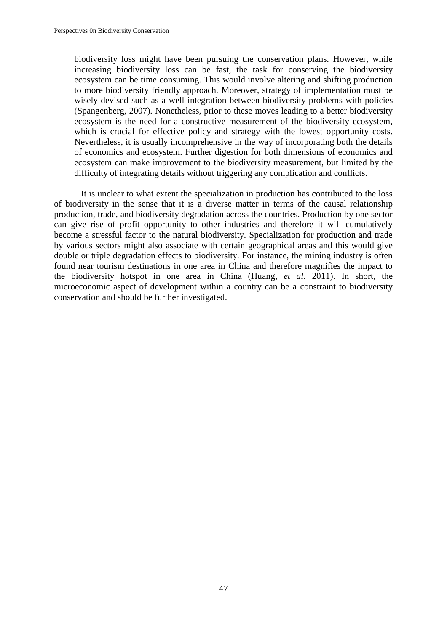biodiversity loss might have been pursuing the conservation plans. However, while increasing biodiversity loss can be fast, the task for conserving the biodiversity ecosystem can be time consuming. This would involve altering and shifting production to more biodiversity friendly approach. Moreover, strategy of implementation must be wisely devised such as a well integration between biodiversity problems with policies (Spangenberg, 2007). Nonetheless, prior to these moves leading to a better biodiversity ecosystem is the need for a constructive measurement of the biodiversity ecosystem, which is crucial for effective policy and strategy with the lowest opportunity costs. Nevertheless, it is usually incomprehensive in the way of incorporating both the details of economics and ecosystem. Further digestion for both dimensions of economics and ecosystem can make improvement to the biodiversity measurement, but limited by the difficulty of integrating details without triggering any complication and conflicts.

It is unclear to what extent the specialization in production has contributed to the loss of biodiversity in the sense that it is a diverse matter in terms of the causal relationship production, trade, and biodiversity degradation across the countries. Production by one sector can give rise of profit opportunity to other industries and therefore it will cumulatively become a stressful factor to the natural biodiversity. Specialization for production and trade by various sectors might also associate with certain geographical areas and this would give double or triple degradation effects to biodiversity. For instance, the mining industry is often found near tourism destinations in one area in China and therefore magnifies the impact to the biodiversity hotspot in one area in China (Huang, *et al*. 2011). In short, the microeconomic aspect of development within a country can be a constraint to biodiversity conservation and should be further investigated.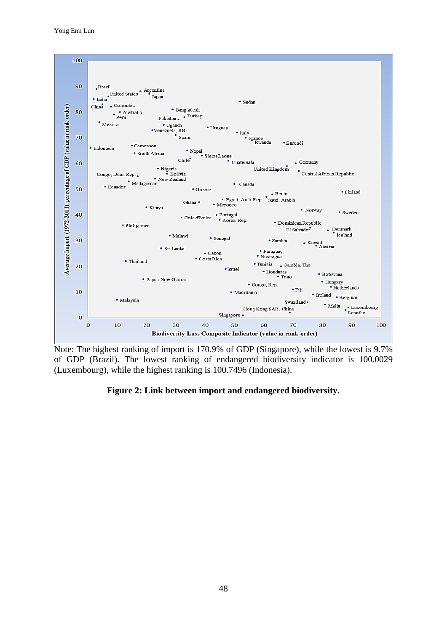

Note: The highest ranking of import is 170.9% of GDP (Singapore), while the lowest is 9.7% of GDP (Brazil). The lowest ranking of endangered biodiversity indicator is 100.0029 (Luxembourg), while the highest ranking is 100.7496 (Indonesia).

# **Figure 2: Link between import and endangered biodiversity.**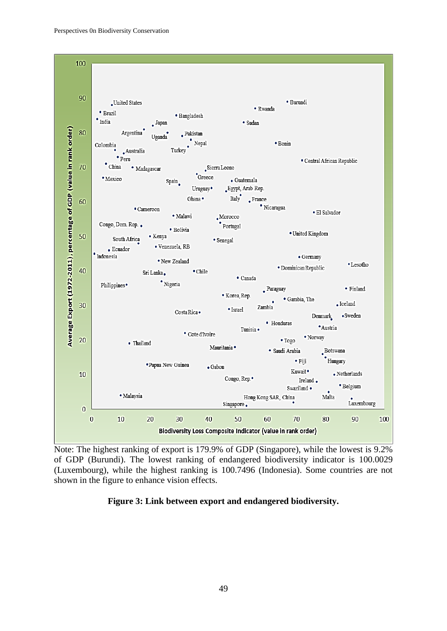

Note: The highest ranking of export is 179.9% of GDP (Singapore), while the lowest is 9.2% of GDP (Burundi). The lowest ranking of endangered biodiversity indicator is 100.0029 (Luxembourg), while the highest ranking is 100.7496 (Indonesia). Some countries are not shown in the figure to enhance vision effects.

# **Figure 3: Link between export and endangered biodiversity.**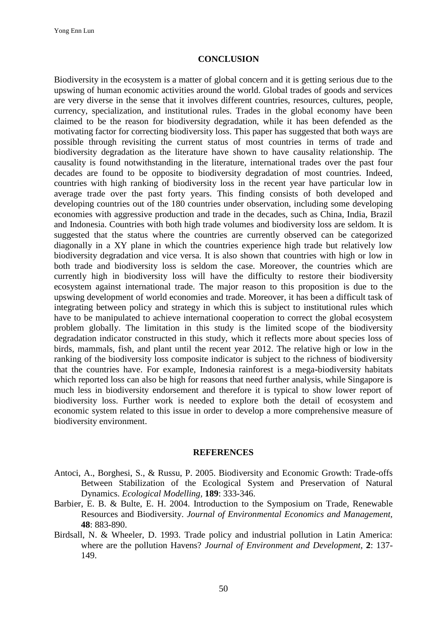### **CONCLUSION**

Biodiversity in the ecosystem is a matter of global concern and it is getting serious due to the upswing of human economic activities around the world. Global trades of goods and services are very diverse in the sense that it involves different countries, resources, cultures, people, currency, specialization, and institutional rules. Trades in the global economy have been claimed to be the reason for biodiversity degradation, while it has been defended as the motivating factor for correcting biodiversity loss. This paper has suggested that both ways are possible through revisiting the current status of most countries in terms of trade and biodiversity degradation as the literature have shown to have causality relationship. The causality is found notwithstanding in the literature, international trades over the past four decades are found to be opposite to biodiversity degradation of most countries. Indeed, countries with high ranking of biodiversity loss in the recent year have particular low in average trade over the past forty years. This finding consists of both developed and developing countries out of the 180 countries under observation, including some developing economies with aggressive production and trade in the decades, such as China, India, Brazil and Indonesia. Countries with both high trade volumes and biodiversity loss are seldom. It is suggested that the status where the countries are currently observed can be categorized diagonally in a XY plane in which the countries experience high trade but relatively low biodiversity degradation and vice versa. It is also shown that countries with high or low in both trade and biodiversity loss is seldom the case. Moreover, the countries which are currently high in biodiversity loss will have the difficulty to restore their biodiversity ecosystem against international trade. The major reason to this proposition is due to the upswing development of world economies and trade. Moreover, it has been a difficult task of integrating between policy and strategy in which this is subject to institutional rules which have to be manipulated to achieve international cooperation to correct the global ecosystem problem globally. The limitation in this study is the limited scope of the biodiversity degradation indicator constructed in this study, which it reflects more about species loss of birds, mammals, fish, and plant until the recent year 2012. The relative high or low in the ranking of the biodiversity loss composite indicator is subject to the richness of biodiversity that the countries have. For example, Indonesia rainforest is a mega-biodiversity habitats which reported loss can also be high for reasons that need further analysis, while Singapore is much less in biodiversity endorsement and therefore it is typical to show lower report of biodiversity loss. Further work is needed to explore both the detail of ecosystem and economic system related to this issue in order to develop a more comprehensive measure of biodiversity environment.

### **REFERENCES**

- Antoci, A., Borghesi, S., & Russu, P. 2005. Biodiversity and Economic Growth: Trade-offs Between Stabilization of the Ecological System and Preservation of Natural Dynamics. *Ecological Modelling,* **189**: 333-346.
- Barbier, E. B. & Bulte, E. H. 2004. Introduction to the Symposium on Trade, Renewable Resources and Biodiversity. *Journal of Environmental Economics and Management,*  **48**: 883-890.
- Birdsall, N. & Wheeler, D. 1993. Trade policy and industrial pollution in Latin America: where are the pollution Havens? *Journal of Environment and Development*, **2**: 137- 149.